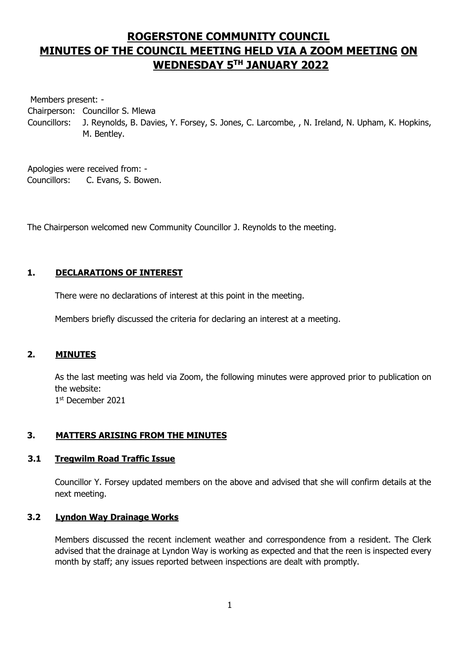# **ROGERSTONE COMMUNITY COUNCIL MINUTES OF THE COUNCIL MEETING HELD VIA A ZOOM MEETING ON WEDNESDAY 5 TH JANUARY 2022**

Members present: -

Chairperson: Councillor S. Mlewa

Councillors: J. Reynolds, B. Davies, Y. Forsey, S. Jones, C. Larcombe, , N. Ireland, N. Upham, K. Hopkins, M. Bentley.

Apologies were received from: - Councillors: C. Evans, S. Bowen.

The Chairperson welcomed new Community Councillor J. Reynolds to the meeting.

# **1. DECLARATIONS OF INTEREST**

There were no declarations of interest at this point in the meeting.

Members briefly discussed the criteria for declaring an interest at a meeting.

# **2. MINUTES**

As the last meeting was held via Zoom, the following minutes were approved prior to publication on the website: 1 st December 2021

# **3. MATTERS ARISING FROM THE MINUTES**

# **3.1 Tregwilm Road Traffic Issue**

Councillor Y. Forsey updated members on the above and advised that she will confirm details at the next meeting.

# **3.2 Lyndon Way Drainage Works**

Members discussed the recent inclement weather and correspondence from a resident. The Clerk advised that the drainage at Lyndon Way is working as expected and that the reen is inspected every month by staff; any issues reported between inspections are dealt with promptly.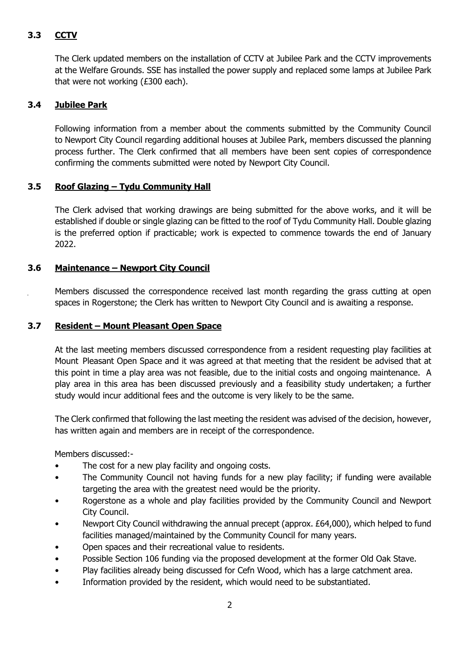# **3.3 CCTV**

The Clerk updated members on the installation of CCTV at Jubilee Park and the CCTV improvements at the Welfare Grounds. SSE has installed the power supply and replaced some lamps at Jubilee Park that were not working (£300 each).

# **3.4 Jubilee Park**

Following information from a member about the comments submitted by the Community Council to Newport City Council regarding additional houses at Jubilee Park, members discussed the planning process further. The Clerk confirmed that all members have been sent copies of correspondence confirming the comments submitted were noted by Newport City Council.

# **3.5 Roof Glazing – Tydu Community Hall**

The Clerk advised that working drawings are being submitted for the above works, and it will be established if double or single glazing can be fitted to the roof of Tydu Community Hall. Double glazing is the preferred option if practicable; work is expected to commence towards the end of January 2022.

# **3.6 Maintenance – Newport City Council**

Members discussed the correspondence received last month regarding the grass cutting at open spaces in Rogerstone; the Clerk has written to Newport City Council and is awaiting a response.

#### **3.7 Resident – Mount Pleasant Open Space**

At the last meeting members discussed correspondence from a resident requesting play facilities at Mount Pleasant Open Space and it was agreed at that meeting that the resident be advised that at this point in time a play area was not feasible, due to the initial costs and ongoing maintenance. A play area in this area has been discussed previously and a feasibility study undertaken; a further study would incur additional fees and the outcome is very likely to be the same.

The Clerk confirmed that following the last meeting the resident was advised of the decision, however, has written again and members are in receipt of the correspondence.

Members discussed:-

- The cost for a new play facility and ongoing costs.
- The Community Council not having funds for a new play facility; if funding were available targeting the area with the greatest need would be the priority.
- Rogerstone as a whole and play facilities provided by the Community Council and Newport City Council.
- Newport City Council withdrawing the annual precept (approx. £64,000), which helped to fund facilities managed/maintained by the Community Council for many years.
- Open spaces and their recreational value to residents.
- Possible Section 106 funding via the proposed development at the former Old Oak Stave.
- Play facilities already being discussed for Cefn Wood, which has a large catchment area.
- Information provided by the resident, which would need to be substantiated.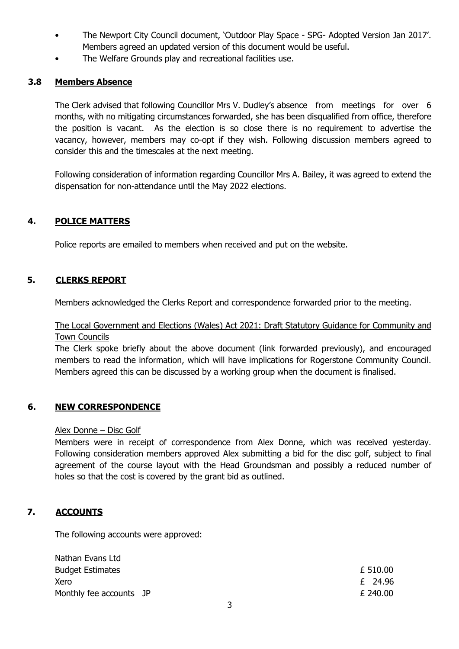- The Newport City Council document, 'Outdoor Play Space SPG- Adopted Version Jan 2017'. Members agreed an updated version of this document would be useful.
- The Welfare Grounds play and recreational facilities use.

# **3.8 Members Absence**

The Clerk advised that following Councillor Mrs V. Dudley's absence from meetings for over 6 months, with no mitigating circumstances forwarded, she has been disqualified from office, therefore the position is vacant. As the election is so close there is no requirement to advertise the vacancy, however, members may co-opt if they wish. Following discussion members agreed to consider this and the timescales at the next meeting.

Following consideration of information regarding Councillor Mrs A. Bailey, it was agreed to extend the dispensation for non-attendance until the May 2022 elections.

# **4. POLICE MATTERS**

Police reports are emailed to members when received and put on the website.

#### **5. CLERKS REPORT**

Members acknowledged the Clerks Report and correspondence forwarded prior to the meeting.

# The Local Government and Elections (Wales) Act 2021: Draft Statutory Guidance for Community and **Town Councils**

The Clerk spoke briefly about the above document (link forwarded previously), and encouraged members to read the information, which will have implications for Rogerstone Community Council. Members agreed this can be discussed by a working group when the document is finalised.

#### **6. NEW CORRESPONDENCE**

#### Alex Donne – Disc Golf

Members were in receipt of correspondence from Alex Donne, which was received yesterday. Following consideration members approved Alex submitting a bid for the disc golf, subject to final agreement of the course layout with the Head Groundsman and possibly a reduced number of holes so that the cost is covered by the grant bid as outlined.

#### **7. ACCOUNTS**

Nathan Evans Ltd

The following accounts were approved:

| INGUIGH LVGIIS LLU      |          |
|-------------------------|----------|
| <b>Budget Estimates</b> | £ 510.00 |
| Xero                    | £ 24.96  |
| Monthly fee accounts JP | £ 240.00 |
|                         |          |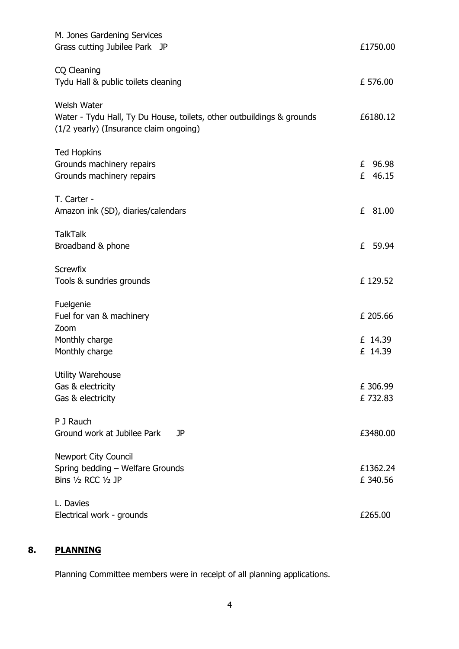| M. Jones Gardening Services<br>Grass cutting Jubilee Park JP                                                                          | £1750.00                       |
|---------------------------------------------------------------------------------------------------------------------------------------|--------------------------------|
| CQ Cleaning<br>Tydu Hall & public toilets cleaning                                                                                    | £ 576.00                       |
| <b>Welsh Water</b><br>Water - Tydu Hall, Ty Du House, toilets, other outbuildings & grounds<br>(1/2 yearly) (Insurance claim ongoing) | £6180.12                       |
| <b>Ted Hopkins</b><br>Grounds machinery repairs<br>Grounds machinery repairs                                                          | £ 96.98<br>£ 46.15             |
| T. Carter -<br>Amazon ink (SD), diaries/calendars                                                                                     | £<br>81.00                     |
| <b>TalkTalk</b><br>Broadband & phone                                                                                                  | 59.94<br>£                     |
| <b>Screwfix</b><br>Tools & sundries grounds                                                                                           | £ 129.52                       |
| Fuelgenie<br>Fuel for van & machinery<br>Zoom<br>Monthly charge<br>Monthly charge                                                     | £ 205.66<br>£ 14.39<br>£ 14.39 |
| <b>Utility Warehouse</b><br>Gas & electricity<br>Gas & electricity                                                                    | £ 306.99<br>£732.83            |
| P J Rauch<br>Ground work at Jubilee Park<br>JP                                                                                        | £3480.00                       |
| <b>Newport City Council</b><br>Spring bedding - Welfare Grounds<br>Bins 1/2 RCC 1/2 JP                                                | £1362.24<br>£ 340.56           |
| L. Davies<br>Electrical work - grounds                                                                                                | £265.00                        |

# **8. PLANNING**

Planning Committee members were in receipt of all planning applications.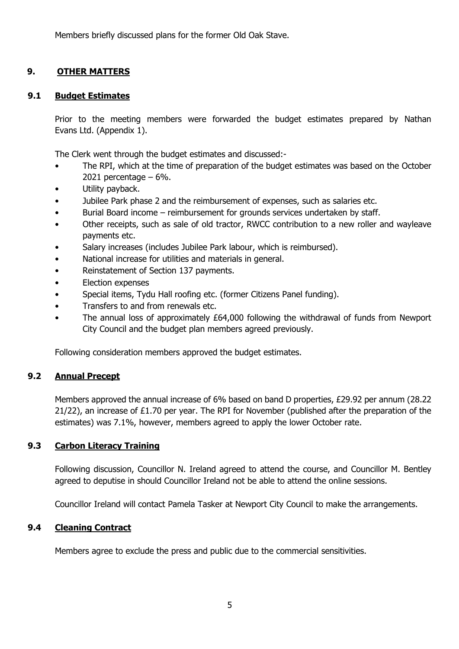Members briefly discussed plans for the former Old Oak Stave.

# **9. OTHER MATTERS**

# **9.1 Budget Estimates**

Prior to the meeting members were forwarded the budget estimates prepared by Nathan Evans Ltd. (Appendix 1).

The Clerk went through the budget estimates and discussed:-

- The RPI, which at the time of preparation of the budget estimates was based on the October 2021 percentage  $-6\%$ .
- Utility payback.
- Jubilee Park phase 2 and the reimbursement of expenses, such as salaries etc.
- Burial Board income reimbursement for grounds services undertaken by staff.
- Other receipts, such as sale of old tractor, RWCC contribution to a new roller and wayleave payments etc.
- Salary increases (includes Jubilee Park labour, which is reimbursed).
- National increase for utilities and materials in general.
- Reinstatement of Section 137 payments.
- Election expenses
- Special items, Tydu Hall roofing etc. (former Citizens Panel funding).
- Transfers to and from renewals etc.
- The annual loss of approximately £64,000 following the withdrawal of funds from Newport City Council and the budget plan members agreed previously.

Following consideration members approved the budget estimates.

# **9.2 Annual Precept**

Members approved the annual increase of 6% based on band D properties, £29.92 per annum (28.22 21/22), an increase of £1.70 per year. The RPI for November (published after the preparation of the estimates) was 7.1%, however, members agreed to apply the lower October rate.

# **9.3 Carbon Literacy Training**

Following discussion, Councillor N. Ireland agreed to attend the course, and Councillor M. Bentley agreed to deputise in should Councillor Ireland not be able to attend the online sessions.

Councillor Ireland will contact Pamela Tasker at Newport City Council to make the arrangements.

# **9.4 Cleaning Contract**

Members agree to exclude the press and public due to the commercial sensitivities.